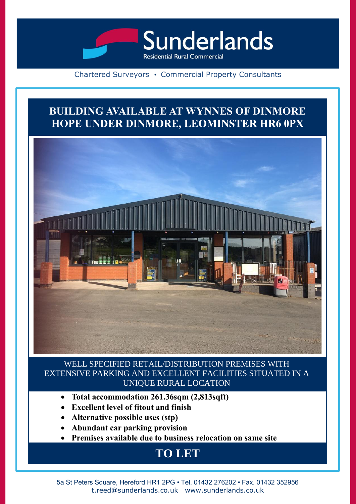

## Chartered Surveyors • Commercial Property Consultants

## **BUILDING AVAILABLE AT WYNNES OF DINMORE HOPE UNDER DINMORE, LEOMINSTER HR6 0PX**



WELL SPECIFIED RETAIL/DISTRIBUTION PREMISES WITH EXTENSIVE PARKING AND EXCELLENT FACILITIES SITUATED IN A UNIQUE RURAL LOCATION

- **Total accommodation 261.36sqm (2,813sqft)**
- **Excellent level of fitout and finish**
- **Alternative possible uses (stp)**
- **Abundant car parking provision**
- **Premises available due to business relocation on same site**

## **TO LET**

5a St Peters Square, Hereford HR1 2PG • Tel. 01432 276202 • Fax. 01432 352956 t.reed@sunderlands.co.uk www.sunderlands.co.uk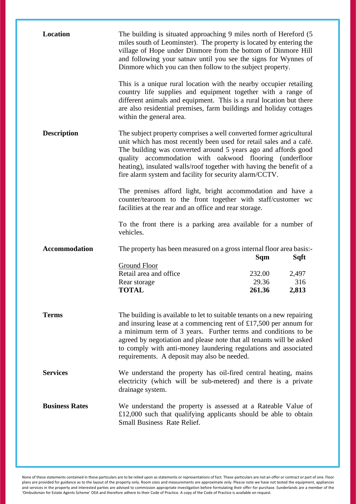| <b>Location</b>       | The building is situated approaching 9 miles north of Hereford (5<br>miles south of Leominster). The property is located by entering the<br>village of Hope under Dinmore from the bottom of Dinmore Hill<br>and following your satnav until you see the signs for Wynnes of<br>Dinmore which you can then follow to the subject property.                                                                 |                           |                       |
|-----------------------|------------------------------------------------------------------------------------------------------------------------------------------------------------------------------------------------------------------------------------------------------------------------------------------------------------------------------------------------------------------------------------------------------------|---------------------------|-----------------------|
|                       | This is a unique rural location with the nearby occupier retailing<br>country life supplies and equipment together with a range of<br>different animals and equipment. This is a rural location but there<br>are also residential premises, farm buildings and holiday cottages<br>within the general area.                                                                                                |                           |                       |
| <b>Description</b>    | The subject property comprises a well converted former agricultural<br>unit which has most recently been used for retail sales and a café.<br>The building was converted around 5 years ago and affords good<br>quality accommodation with oakwood flooring (underfloor<br>heating), insulated walls/roof together with having the benefit of a<br>fire alarm system and facility for security alarm/CCTV. |                           |                       |
|                       | The premises afford light, bright accommodation and have a<br>counter/tearoom to the front together with staff/customer wc<br>facilities at the rear and an office and rear storage.                                                                                                                                                                                                                       |                           |                       |
|                       | To the front there is a parking area available for a number of<br>vehicles.                                                                                                                                                                                                                                                                                                                                |                           |                       |
| <b>Accommodation</b>  | The property has been measured on a gross internal floor area basis:-                                                                                                                                                                                                                                                                                                                                      | Sqm                       | Sqft                  |
|                       | Ground Floor<br>Retail area and office<br>Rear storage<br><b>TOTAL</b>                                                                                                                                                                                                                                                                                                                                     | 232.00<br>29.36<br>261.36 | 2,497<br>316<br>2,813 |
| <b>Terms</b>          | The building is available to let to suitable tenants on a new repairing<br>and insuring lease at a commencing rent of $£17,500$ per annum for<br>a minimum term of 3 years. Further terms and conditions to be<br>agreed by negotiation and please note that all tenants will be asked<br>to comply with anti-money laundering regulations and associated<br>requirements. A deposit may also be needed.   |                           |                       |
| <b>Services</b>       | We understand the property has oil-fired central heating, mains<br>electricity (which will be sub-metered) and there is a private<br>drainage system.                                                                                                                                                                                                                                                      |                           |                       |
| <b>Business Rates</b> | We understand the property is assessed at a Rateable Value of<br>£12,000 such that qualifying applicants should be able to obtain<br><b>Small Business Rate Relief.</b>                                                                                                                                                                                                                                    |                           |                       |

None of these statements contained in these particulars are to be relied upon as statements or representations of fact. These particulars are not an offer or contract or part of one. Floor plans are provided for guidance as to the layout of the property only. Room sizes and measurements are approximate only. Please note we have not tested the equipment, appliances and services in the property and interested parties are advised to commission appropriate investigation before formulating their offer for purchase. Sunderlands are a member of the 'Ombudsman for Estate Agents Scheme' OEA and therefore adhere to their Code of Practice. A copy of the Code of Practice is available on request.